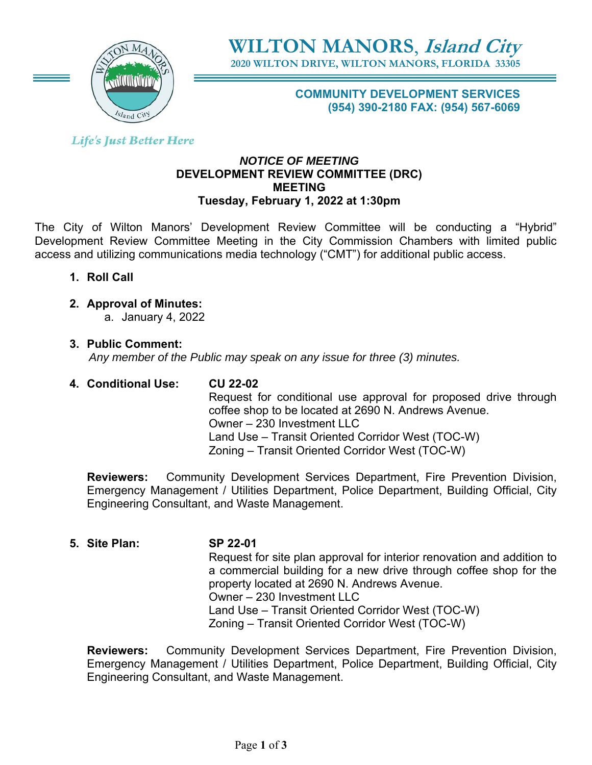

**WILTON MANORS**, **Island City**

**2020 WILTON DRIVE, WILTON MANORS, FLORIDA 33305** 

**COMMUNITY DEVELOPMENT SERVICES (954) 390-2180 FAX: (954) 567-6069** 

**Life's Just Better Here** 

### *NOTICE OF MEETING*  **DEVELOPMENT REVIEW COMMITTEE (DRC) MEETING Tuesday, February 1, 2022 at 1:30pm**

The City of Wilton Manors' Development Review Committee will be conducting a "Hybrid" Development Review Committee Meeting in the City Commission Chambers with limited public access and utilizing communications media technology ("CMT") for additional public access.

- **1. Roll Call**
- **2. Approval of Minutes:** 
	- a. January 4, 2022
- **3. Public Comment:**

 *Any member of the Public may speak on any issue for three (3) minutes.*

# **4. Conditional Use: CU 22-02**

Request for conditional use approval for proposed drive through coffee shop to be located at 2690 N. Andrews Avenue. Owner – 230 Investment LLC Land Use – Transit Oriented Corridor West (TOC-W) Zoning – Transit Oriented Corridor West (TOC-W)

**Reviewers:** Community Development Services Department, Fire Prevention Division, Emergency Management / Utilities Department, Police Department, Building Official, City Engineering Consultant, and Waste Management.

**5. Site Plan: SP 22-01** Request for site plan approval for interior renovation and addition to a commercial building for a new drive through coffee shop for the property located at 2690 N. Andrews Avenue. Owner – 230 Investment LLC Land Use – Transit Oriented Corridor West (TOC-W) Zoning – Transit Oriented Corridor West (TOC-W)

**Reviewers:** Community Development Services Department, Fire Prevention Division, Emergency Management / Utilities Department, Police Department, Building Official, City Engineering Consultant, and Waste Management.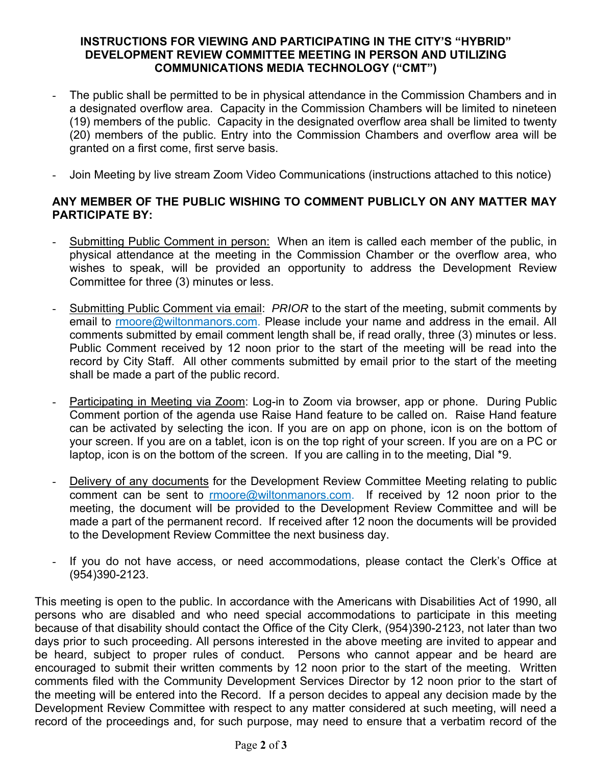## **INSTRUCTIONS FOR VIEWING AND PARTICIPATING IN THE CITY'S "HYBRID" DEVELOPMENT REVIEW COMMITTEE MEETING IN PERSON AND UTILIZING COMMUNICATIONS MEDIA TECHNOLOGY ("CMT")**

- The public shall be permitted to be in physical attendance in the Commission Chambers and in a designated overflow area. Capacity in the Commission Chambers will be limited to nineteen (19) members of the public. Capacity in the designated overflow area shall be limited to twenty (20) members of the public. Entry into the Commission Chambers and overflow area will be granted on a first come, first serve basis.
- Join Meeting by live stream Zoom Video Communications (instructions attached to this notice)

## **ANY MEMBER OF THE PUBLIC WISHING TO COMMENT PUBLICLY ON ANY MATTER MAY PARTICIPATE BY:**

- Submitting Public Comment in person: When an item is called each member of the public, in physical attendance at the meeting in the Commission Chamber or the overflow area, who wishes to speak, will be provided an opportunity to address the Development Review Committee for three (3) minutes or less.
- Submitting Public Comment via email: *PRIOR* to the start of the meeting, submit comments by email to rmoore@wiltonmanors.com. Please include your name and address in the email. All comments submitted by email comment length shall be, if read orally, three (3) minutes or less. Public Comment received by 12 noon prior to the start of the meeting will be read into the record by City Staff. All other comments submitted by email prior to the start of the meeting shall be made a part of the public record.
- Participating in Meeting via Zoom: Log-in to Zoom via browser, app or phone. During Public Comment portion of the agenda use Raise Hand feature to be called on. Raise Hand feature can be activated by selecting the icon. If you are on app on phone, icon is on the bottom of your screen. If you are on a tablet, icon is on the top right of your screen. If you are on a PC or laptop, icon is on the bottom of the screen. If you are calling in to the meeting, Dial \*9.
- Delivery of any documents for the Development Review Committee Meeting relating to public comment can be sent to rmoore@wiltonmanors.com. If received by 12 noon prior to the meeting, the document will be provided to the Development Review Committee and will be made a part of the permanent record. If received after 12 noon the documents will be provided to the Development Review Committee the next business day.
- If you do not have access, or need accommodations, please contact the Clerk's Office at (954)390-2123.

This meeting is open to the public. In accordance with the Americans with Disabilities Act of 1990, all persons who are disabled and who need special accommodations to participate in this meeting because of that disability should contact the Office of the City Clerk, (954)390-2123, not later than two days prior to such proceeding. All persons interested in the above meeting are invited to appear and be heard, subject to proper rules of conduct. Persons who cannot appear and be heard are encouraged to submit their written comments by 12 noon prior to the start of the meeting. Written comments filed with the Community Development Services Director by 12 noon prior to the start of the meeting will be entered into the Record. If a person decides to appeal any decision made by the Development Review Committee with respect to any matter considered at such meeting, will need a record of the proceedings and, for such purpose, may need to ensure that a verbatim record of the